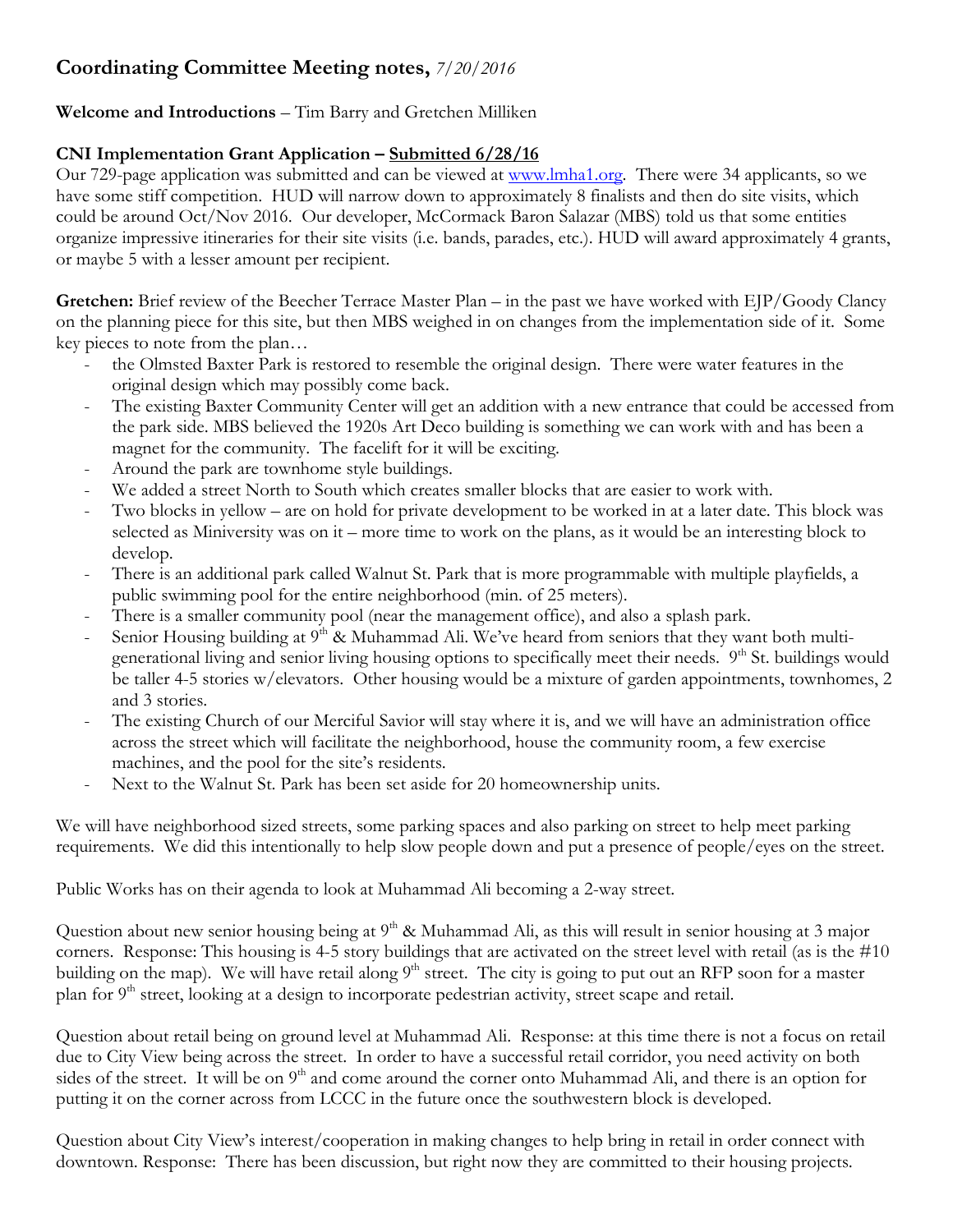## **Coordinating Committee Meeting notes,** *7/20/2016*

## **Welcome and Introductions** – Tim Barry and Gretchen Milliken

## **CNI Implementation Grant Application – Submitted 6/28/16**

Our 729-page application was submitted and can be viewed at [www.lmha1.org.](http://www.lmha1.org/) There were 34 applicants, so we have some stiff competition. HUD will narrow down to approximately 8 finalists and then do site visits, which could be around Oct/Nov 2016. Our developer, McCormack Baron Salazar (MBS) told us that some entities organize impressive itineraries for their site visits (i.e. bands, parades, etc.). HUD will award approximately 4 grants, or maybe 5 with a lesser amount per recipient.

**Gretchen:** Brief review of the Beecher Terrace Master Plan – in the past we have worked with EJP/Goody Clancy on the planning piece for this site, but then MBS weighed in on changes from the implementation side of it. Some key pieces to note from the plan…

- the Olmsted Baxter Park is restored to resemble the original design. There were water features in the original design which may possibly come back.
- The existing Baxter Community Center will get an addition with a new entrance that could be accessed from the park side. MBS believed the 1920s Art Deco building is something we can work with and has been a magnet for the community. The facelift for it will be exciting.
- Around the park are townhome style buildings.
- We added a street North to South which creates smaller blocks that are easier to work with.
- Two blocks in yellow are on hold for private development to be worked in at a later date. This block was selected as Miniversity was on it – more time to work on the plans, as it would be an interesting block to develop.
- There is an additional park called Walnut St. Park that is more programmable with multiple playfields, a public swimming pool for the entire neighborhood (min. of 25 meters).
- There is a smaller community pool (near the management office), and also a splash park.
- Senior Housing building at  $9<sup>th</sup>$  & Muhammad Ali. We've heard from seniors that they want both multigenerational living and senior living housing options to specifically meet their needs.  $9<sup>th</sup>$  St. buildings would be taller 4-5 stories w/elevators. Other housing would be a mixture of garden appointments, townhomes, 2 and 3 stories.
- The existing Church of our Merciful Savior will stay where it is, and we will have an administration office across the street which will facilitate the neighborhood, house the community room, a few exercise machines, and the pool for the site's residents.
- Next to the Walnut St. Park has been set aside for 20 homeownership units.

We will have neighborhood sized streets, some parking spaces and also parking on street to help meet parking requirements. We did this intentionally to help slow people down and put a presence of people/eyes on the street.

Public Works has on their agenda to look at Muhammad Ali becoming a 2-way street.

Question about new senior housing being at 9<sup>th</sup> & Muhammad Ali, as this will result in senior housing at 3 major corners. Response: This housing is 4-5 story buildings that are activated on the street level with retail (as is the #10 building on the map). We will have retail along 9<sup>th</sup> street. The city is going to put out an RFP soon for a master plan for 9<sup>th</sup> street, looking at a design to incorporate pedestrian activity, street scape and retail.

Question about retail being on ground level at Muhammad Ali. Response: at this time there is not a focus on retail due to City View being across the street. In order to have a successful retail corridor, you need activity on both sides of the street. It will be on 9<sup>th</sup> and come around the corner onto Muhammad Ali, and there is an option for putting it on the corner across from LCCC in the future once the southwestern block is developed.

Question about City View's interest/cooperation in making changes to help bring in retail in order connect with downtown. Response: There has been discussion, but right now they are committed to their housing projects.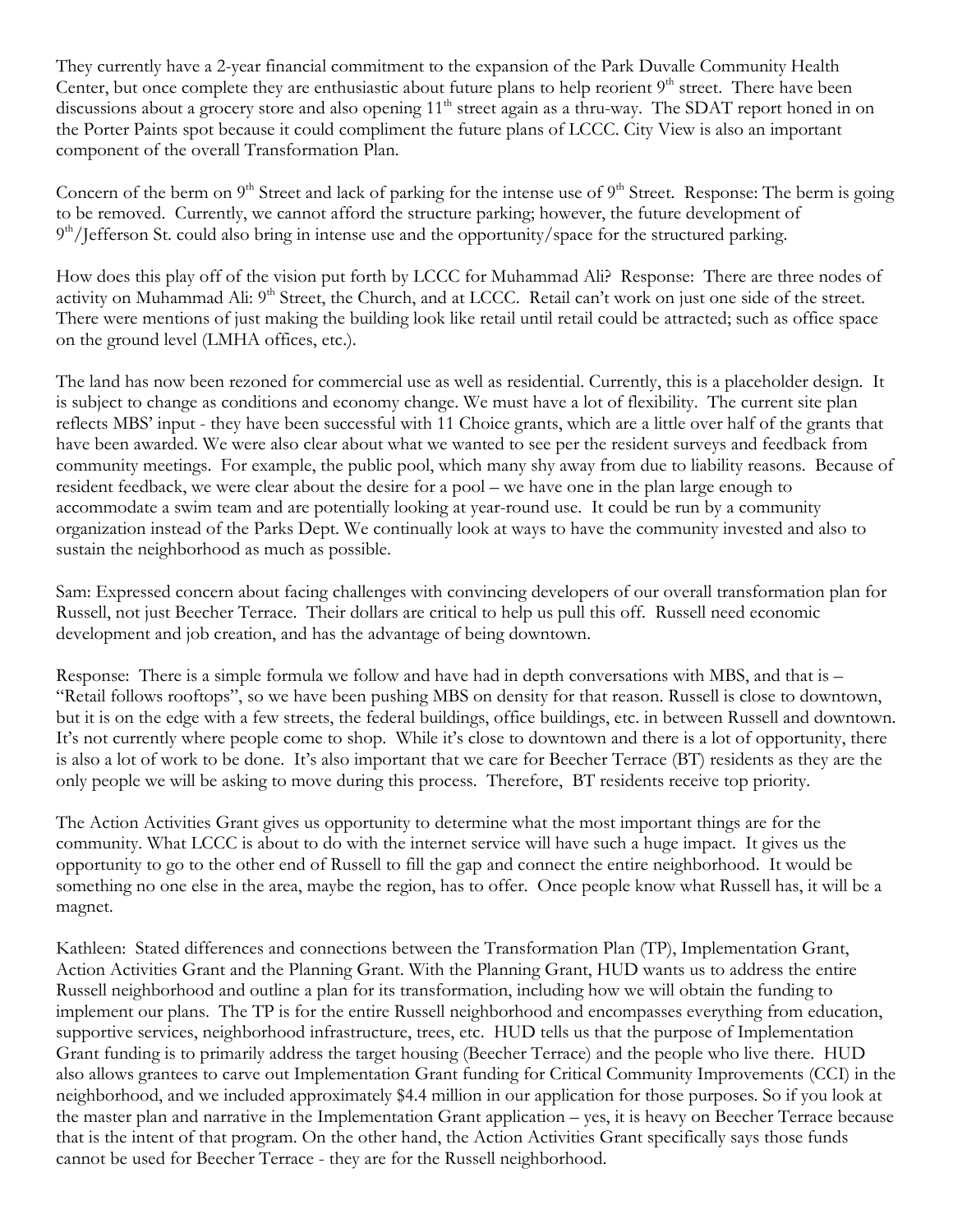They currently have a 2-year financial commitment to the expansion of the Park Duvalle Community Health Center, but once complete they are enthusiastic about future plans to help reorient 9<sup>th</sup> street. There have been discussions about a grocery store and also opening 11<sup>th</sup> street again as a thru-way. The SDAT report honed in on the Porter Paints spot because it could compliment the future plans of LCCC. City View is also an important component of the overall Transformation Plan.

Concern of the berm on  $9<sup>th</sup>$  Street and lack of parking for the intense use of  $9<sup>th</sup>$  Street. Response: The berm is going to be removed. Currently, we cannot afford the structure parking; however, the future development of 9<sup>th</sup>/Jefferson St. could also bring in intense use and the opportunity/space for the structured parking.

How does this play off of the vision put forth by LCCC for Muhammad Ali? Response: There are three nodes of activity on Muhammad Ali: 9<sup>th</sup> Street, the Church, and at LCCC. Retail can't work on just one side of the street. There were mentions of just making the building look like retail until retail could be attracted; such as office space on the ground level (LMHA offices, etc.).

The land has now been rezoned for commercial use as well as residential. Currently, this is a placeholder design. It is subject to change as conditions and economy change. We must have a lot of flexibility. The current site plan reflects MBS' input - they have been successful with 11 Choice grants, which are a little over half of the grants that have been awarded. We were also clear about what we wanted to see per the resident surveys and feedback from community meetings. For example, the public pool, which many shy away from due to liability reasons. Because of resident feedback, we were clear about the desire for a pool – we have one in the plan large enough to accommodate a swim team and are potentially looking at year-round use. It could be run by a community organization instead of the Parks Dept. We continually look at ways to have the community invested and also to sustain the neighborhood as much as possible.

Sam: Expressed concern about facing challenges with convincing developers of our overall transformation plan for Russell, not just Beecher Terrace. Their dollars are critical to help us pull this off. Russell need economic development and job creation, and has the advantage of being downtown.

Response: There is a simple formula we follow and have had in depth conversations with MBS, and that is – "Retail follows rooftops", so we have been pushing MBS on density for that reason. Russell is close to downtown, but it is on the edge with a few streets, the federal buildings, office buildings, etc. in between Russell and downtown. It's not currently where people come to shop. While it's close to downtown and there is a lot of opportunity, there is also a lot of work to be done. It's also important that we care for Beecher Terrace (BT) residents as they are the only people we will be asking to move during this process. Therefore, BT residents receive top priority.

The Action Activities Grant gives us opportunity to determine what the most important things are for the community. What LCCC is about to do with the internet service will have such a huge impact. It gives us the opportunity to go to the other end of Russell to fill the gap and connect the entire neighborhood. It would be something no one else in the area, maybe the region, has to offer. Once people know what Russell has, it will be a magnet.

Kathleen: Stated differences and connections between the Transformation Plan (TP), Implementation Grant, Action Activities Grant and the Planning Grant. With the Planning Grant, HUD wants us to address the entire Russell neighborhood and outline a plan for its transformation, including how we will obtain the funding to implement our plans. The TP is for the entire Russell neighborhood and encompasses everything from education, supportive services, neighborhood infrastructure, trees, etc. HUD tells us that the purpose of Implementation Grant funding is to primarily address the target housing (Beecher Terrace) and the people who live there. HUD also allows grantees to carve out Implementation Grant funding for Critical Community Improvements (CCI) in the neighborhood, and we included approximately \$4.4 million in our application for those purposes. So if you look at the master plan and narrative in the Implementation Grant application – yes, it is heavy on Beecher Terrace because that is the intent of that program. On the other hand, the Action Activities Grant specifically says those funds cannot be used for Beecher Terrace - they are for the Russell neighborhood.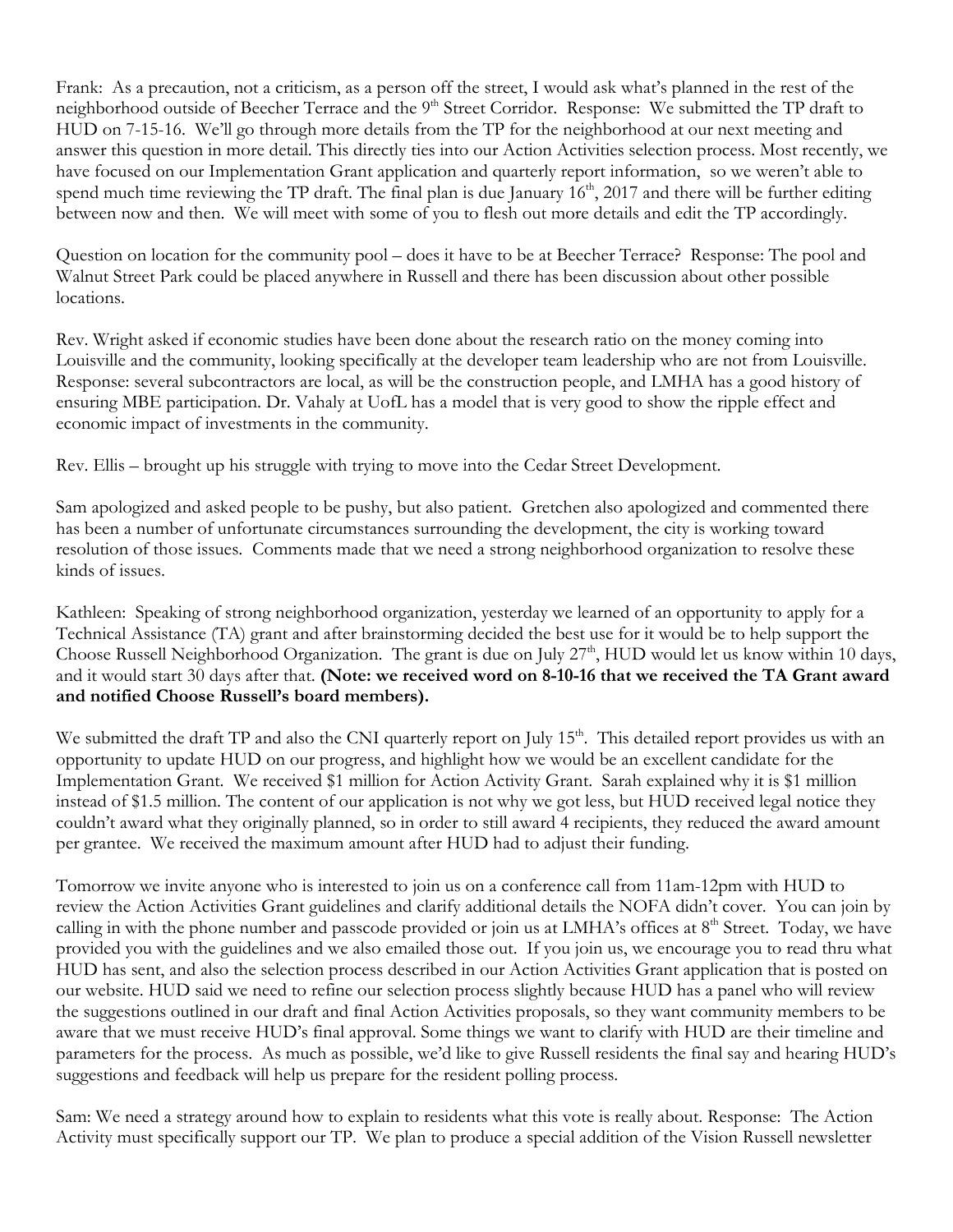Frank: As a precaution, not a criticism, as a person off the street, I would ask what's planned in the rest of the neighborhood outside of Beecher Terrace and the 9<sup>th</sup> Street Corridor. Response: We submitted the TP draft to HUD on 7-15-16. We'll go through more details from the TP for the neighborhood at our next meeting and answer this question in more detail. This directly ties into our Action Activities selection process. Most recently, we have focused on our Implementation Grant application and quarterly report information, so we weren't able to spend much time reviewing the TP draft. The final plan is due January  $16<sup>th</sup>$ , 2017 and there will be further editing between now and then. We will meet with some of you to flesh out more details and edit the TP accordingly.

Question on location for the community pool – does it have to be at Beecher Terrace? Response: The pool and Walnut Street Park could be placed anywhere in Russell and there has been discussion about other possible locations.

Rev. Wright asked if economic studies have been done about the research ratio on the money coming into Louisville and the community, looking specifically at the developer team leadership who are not from Louisville. Response: several subcontractors are local, as will be the construction people, and LMHA has a good history of ensuring MBE participation. Dr. Vahaly at UofL has a model that is very good to show the ripple effect and economic impact of investments in the community.

Rev. Ellis – brought up his struggle with trying to move into the Cedar Street Development.

Sam apologized and asked people to be pushy, but also patient. Gretchen also apologized and commented there has been a number of unfortunate circumstances surrounding the development, the city is working toward resolution of those issues. Comments made that we need a strong neighborhood organization to resolve these kinds of issues.

Kathleen: Speaking of strong neighborhood organization, yesterday we learned of an opportunity to apply for a Technical Assistance (TA) grant and after brainstorming decided the best use for it would be to help support the Choose Russell Neighborhood Organization. The grant is due on July  $27<sup>th</sup>$ , HUD would let us know within 10 days, and it would start 30 days after that. **(Note: we received word on 8-10-16 that we received the TA Grant award and notified Choose Russell's board members).**

We submitted the draft TP and also the CNI quarterly report on July 15<sup>th</sup>. This detailed report provides us with an opportunity to update HUD on our progress, and highlight how we would be an excellent candidate for the Implementation Grant. We received \$1 million for Action Activity Grant. Sarah explained why it is \$1 million instead of \$1.5 million. The content of our application is not why we got less, but HUD received legal notice they couldn't award what they originally planned, so in order to still award 4 recipients, they reduced the award amount per grantee. We received the maximum amount after HUD had to adjust their funding.

Tomorrow we invite anyone who is interested to join us on a conference call from 11am-12pm with HUD to review the Action Activities Grant guidelines and clarify additional details the NOFA didn't cover. You can join by calling in with the phone number and passcode provided or join us at LMHA's offices at 8<sup>th</sup> Street. Today, we have provided you with the guidelines and we also emailed those out. If you join us, we encourage you to read thru what HUD has sent, and also the selection process described in our Action Activities Grant application that is posted on our website. HUD said we need to refine our selection process slightly because HUD has a panel who will review the suggestions outlined in our draft and final Action Activities proposals, so they want community members to be aware that we must receive HUD's final approval. Some things we want to clarify with HUD are their timeline and parameters for the process. As much as possible, we'd like to give Russell residents the final say and hearing HUD's suggestions and feedback will help us prepare for the resident polling process.

Sam: We need a strategy around how to explain to residents what this vote is really about. Response: The Action Activity must specifically support our TP. We plan to produce a special addition of the Vision Russell newsletter